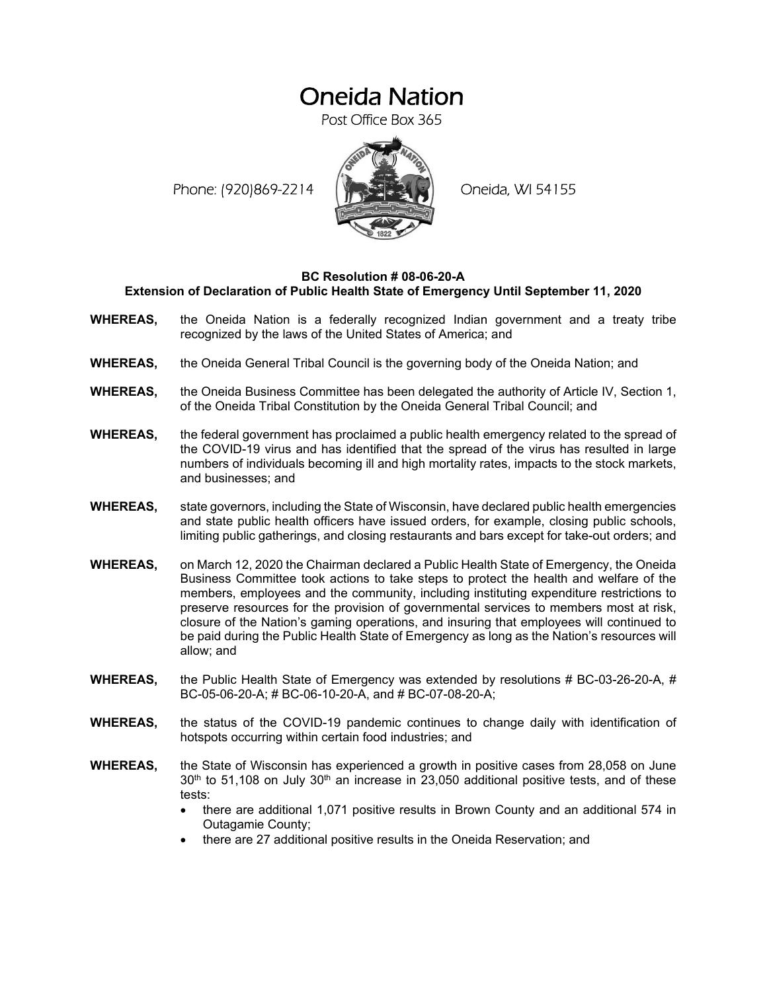# Oneida Nation

Post Office Box 365

Phone: (920)869-2214 (XXXXXXX) Oneida, WI 54155



## **BC Resolution # 08-06-20-A Extension of Declaration of Public Health State of Emergency Until September 11, 2020**

- **WHEREAS,** the Oneida Nation is a federally recognized Indian government and a treaty tribe recognized by the laws of the United States of America; and
- **WHEREAS,** the Oneida General Tribal Council is the governing body of the Oneida Nation; and
- **WHEREAS,** the Oneida Business Committee has been delegated the authority of Article IV, Section 1, of the Oneida Tribal Constitution by the Oneida General Tribal Council; and
- **WHEREAS,** the federal government has proclaimed a public health emergency related to the spread of the COVID-19 virus and has identified that the spread of the virus has resulted in large numbers of individuals becoming ill and high mortality rates, impacts to the stock markets, and businesses; and
- **WHEREAS,** state governors, including the State of Wisconsin, have declared public health emergencies and state public health officers have issued orders, for example, closing public schools, limiting public gatherings, and closing restaurants and bars except for take-out orders; and
- **WHEREAS,** on March 12, 2020 the Chairman declared a Public Health State of Emergency, the Oneida Business Committee took actions to take steps to protect the health and welfare of the members, employees and the community, including instituting expenditure restrictions to preserve resources for the provision of governmental services to members most at risk, closure of the Nation's gaming operations, and insuring that employees will continued to be paid during the Public Health State of Emergency as long as the Nation's resources will allow; and
- **WHEREAS,** the Public Health State of Emergency was extended by resolutions # BC-03-26-20-A, # BC-05-06-20-A; # BC-06-10-20-A, and # BC-07-08-20-A;
- **WHEREAS,** the status of the COVID-19 pandemic continues to change daily with identification of hotspots occurring within certain food industries; and
- **WHEREAS,** the State of Wisconsin has experienced a growth in positive cases from 28,058 on June  $30<sup>th</sup>$  to 51,108 on July  $30<sup>th</sup>$  an increase in 23,050 additional positive tests, and of these tests:
	- there are additional 1,071 positive results in Brown County and an additional 574 in Outagamie County;
	- there are 27 additional positive results in the Oneida Reservation; and